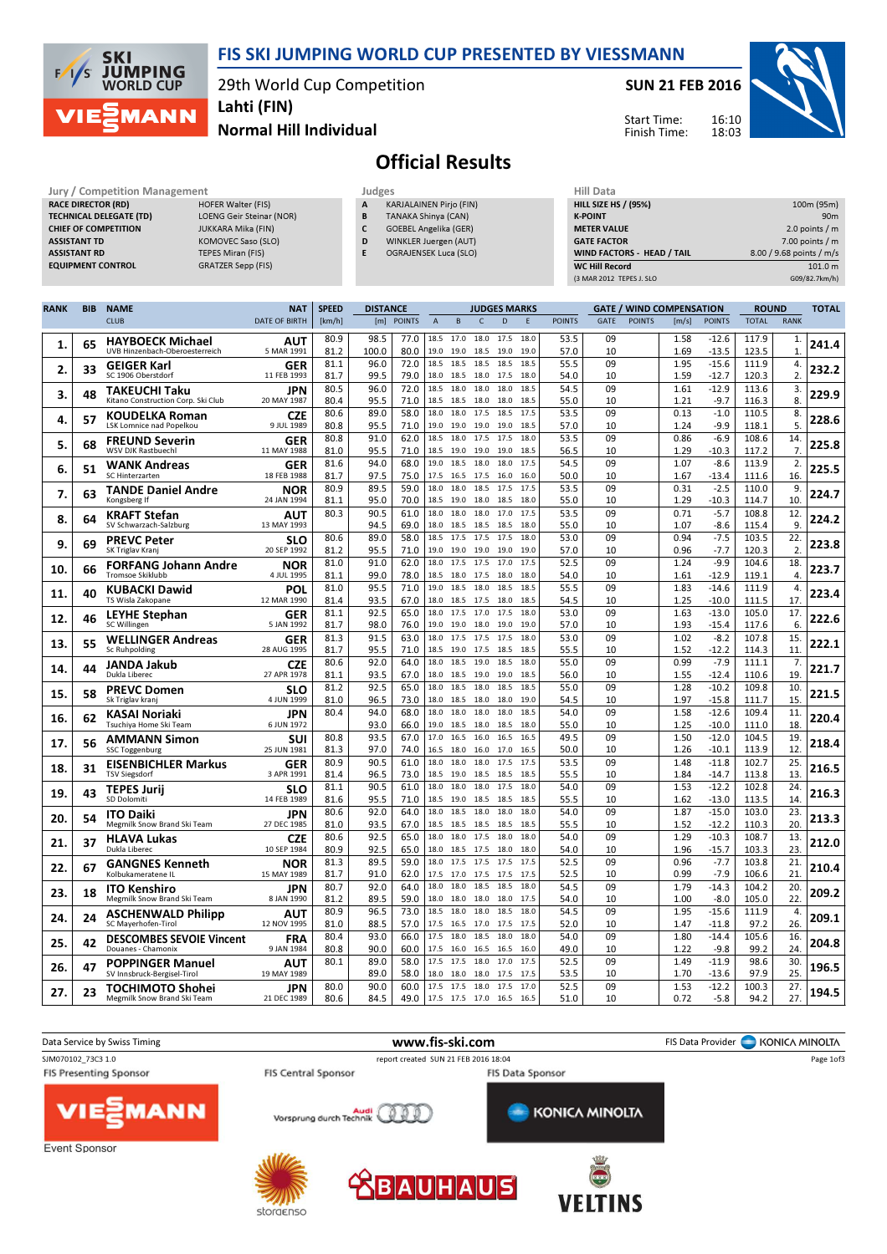

29th World Cup Competition



Normal Hill Individual Lahti (FIN)

SUN 21 FEB 2016

Start Time: Finish Time:



## Official Results

|                           |                               | <b>Hill Data</b> |                                |        |                    |
|---------------------------|-------------------------------|------------------|--------------------------------|--------|--------------------|
| <b>HOFER Walter (FIS)</b> |                               | A                | <b>KARJALAINEN Pirjo (FIN)</b> |        | <b>HILL SIZE H</b> |
| LOENG Geir Steinar (NOR)  |                               | B                | TANAKA Shinya (CAN)            |        | <b>K-POINT</b>     |
| <b>JUKKARA Mika (FIN)</b> |                               | c                | <b>GOEBEL Angelika (GER)</b>   |        | <b>METER VAI</b>   |
| KOMOVEC Saso (SLO)        |                               | D                | WINKLER Juergen (AUT)          |        | <b>GATE FACT</b>   |
| TEPES Miran (FIS)         |                               | E                | <b>OGRAJENSEK Luca (SLO)</b>   |        | <b>WIND FACT</b>   |
| <b>GRATZER Sepp (FIS)</b> |                               |                  |                                |        | WC Hill Re         |
|                           | Jury / Competition Management |                  |                                | Judges |                    |

| Hill Data                   |                          |
|-----------------------------|--------------------------|
| <b>HILL SIZE HS / (95%)</b> | 100m (95m)               |
| <b>K-POINT</b>              | 90 <sub>m</sub>          |
| <b>METER VALUE</b>          | 2.0 points $/m$          |
| <b>GATE FACTOR</b>          | $7.00$ points / m        |
| WIND FACTORS - HEAD / TAIL  | 8.00 / 9.68 points / m/s |
| <b>WC Hill Record</b>       | 101.0 m                  |
| (3 MAR 2012 TEPES J. SLO    | G09/82.7km/h)            |

| <b>RANK</b> | <b>BIB</b> | <b>NAME</b>                                                | <b>NAT</b>                | <b>SPEED</b> | <b>DISTANCE</b> |               |                |                             |              | <b>JUDGES MARKS</b> |              |               |             |               | <b>GATE / WIND COMPENSATION</b> |                    | <b>ROUND</b>   |                       | <b>TOTAL</b> |
|-------------|------------|------------------------------------------------------------|---------------------------|--------------|-----------------|---------------|----------------|-----------------------------|--------------|---------------------|--------------|---------------|-------------|---------------|---------------------------------|--------------------|----------------|-----------------------|--------------|
|             |            | <b>CLUB</b>                                                | <b>DATE OF BIRTH</b>      | [km/h]       | [m]             | <b>POINTS</b> | $\overline{A}$ | B                           | $\mathsf C$  | D                   | F            | <b>POINTS</b> | <b>GATE</b> | <b>POINTS</b> | [m/s]                           | <b>POINTS</b>      | <b>TOTAL</b>   | <b>RANK</b>           |              |
| 1.          | 65         | <b>HAYBOECK Michael</b><br>UVB Hinzenbach-Oberoesterreich  | AUT<br>5 MAR 1991         | 80.9<br>81.2 | 98.5<br>100.0   | 77.0<br>80.0  | 18.5<br>19.0   | 17.0<br>19.0                | 18.5         | 18.0 17.5<br>19.0   | 18.0<br>19.0 | 53.5<br>57.0  | 09<br>10    |               | 1.58<br>1.69                    | $-12.6$<br>$-13.5$ | 117.9<br>123.5 | 1.<br>$\mathbf{1}$    | 241.4        |
| 2.          | 33         | <b>GEIGER Karl</b><br>SC 1906 Oberstdorf                   | <b>GER</b><br>11 FEB 1993 | 81.1<br>81.7 | 96.0<br>99.5    | 72.0<br>79.0  | 18.5<br>18.0   | 18.5<br>18.5                | 18.5<br>18.0 | 18.5<br>17.5        | 18.5<br>18.0 | 55.5<br>54.0  | 09<br>10    |               | 1.95<br>1.59                    | $-15.6$<br>$-12.7$ | 111.9<br>120.3 | 4.<br>2.              | 232.2        |
| 3.          | 48         | <b>TAKEUCHI Taku</b><br>Kitano Construction Corp. Ski Club | JPN<br>20 MAY 1987        | 80.5<br>80.4 | 96.0<br>95.5    | 72.0<br>71.0  | 18.5<br>18.5   | 18.0<br>18.5                | 18.0<br>18.0 | 18.0<br>18.0        | 18.5<br>18.5 | 54.5<br>55.0  | 09<br>10    |               | 1.61<br>1.21                    | $-12.9$<br>$-9.7$  | 113.6<br>116.3 | 3.<br>8.              | 229.9        |
| 4.          | 57         | KOUDELKA Roman                                             | <b>CZE</b>                | 80.6         | 89.0            | 58.0          | 18.0           | 18.0                        | 17.5         | 18.5                | 17.5         | 53.5          | 09          |               | 0.13                            | $-1.0$             | 110.5          | 8.                    | 228.6        |
|             |            | LSK Lomnice nad Popelkou<br><b>FREUND Severin</b>          | 9 JUL 1989<br>GER         | 80.8<br>80.8 | 95.5<br>91.0    | 71.0<br>62.0  | 19.0<br>18.5   | 19.0<br>18.0                | 19.0<br>17.5 | 19.0<br>17.5        | 18.5<br>18.0 | 57.0<br>53.5  | 10<br>09    |               | 1.24<br>0.86                    | $-9.9$<br>$-6.9$   | 118.1<br>108.6 | 5.<br>14.             |              |
| 5.          | 68         | WSV DJK Rastbuechl                                         | 11 MAY 1988               | 81.0<br>81.6 | 95.5<br>94.0    | 71.0<br>68.0  | 18.5<br>19.0   | 19.0<br>18.5                | 19.0<br>18.0 | 19.0<br>18.0        | 18.5<br>17.5 | 56.5<br>54.5  | 10<br>09    |               | 1.29<br>1.07                    | $-10.3$<br>$-8.6$  | 117.2<br>113.9 | 7.<br>2.              | 225.8        |
| 6.          | 51         | <b>WANK Andreas</b><br>SC Hinterzarten                     | GER<br>18 FEB 1988        | 81.7         | 97.5            | 75.0          | 17.5           | 16.5                        | 17.5         | 16.0                | 16.0         | 50.0          | 10          |               | 1.67                            | $-13.4$            | 111.6          | 16                    | 225.5        |
| 7.          | 63         | <b>TANDE Daniel Andre</b><br>Kongsberg If                  | NOR<br>24 JAN 1994        | 80.9<br>81.1 | 89.5<br>95.0    | 59.0<br>70.0  | 18.0<br>18.5   | 18.0<br>19.0                | 18.5<br>18.0 | 17.5<br>18.5        | 17.5<br>18.0 | 53.5<br>55.0  | 09<br>10    |               | 0.31<br>1.29                    | $-2.5$<br>$-10.3$  | 110.0<br>114.7 | 9.<br>10              | 224.7        |
| 8.          | 64         | <b>KRAFT Stefan</b><br>SV Schwarzach-Salzburg              | AUT<br>13 MAY 1993        | 80.3         | 90.5<br>94.5    | 61.0<br>69.0  | 18.0<br>18.0   | 18.0<br>18.5                | 18.0<br>18.5 | 17.0<br>18.5        | 17.5<br>18.0 | 53.5<br>55.0  | 09<br>10    |               | 0.71<br>1.07                    | $-5.7$<br>$-8.6$   | 108.8<br>115.4 | 12<br>9.              | 224.2        |
| 9.          | 69         | <b>PREVC Peter</b><br>SK Triglav Kranj                     | <b>SLO</b><br>20 SEP 1992 | 80.6<br>81.2 | 89.0<br>95.5    | 58.0<br>71.0  | 18.5<br>19.0   | 17.5<br>19.0                | 17.5<br>19.0 | 17.5<br>19.0        | 18.0<br>19.0 | 53.0<br>57.0  | 09<br>10    |               | 0.94<br>0.96                    | $-7.5$<br>$-7.7$   | 103.5<br>120.3 | 22<br>$\overline{2}$  | 223.8        |
| 10.         | 66         | <b>FORFANG Johann Andre</b><br>Tromsoe Skiklubb            | <b>NOR</b>                | 81.0         | 91.0<br>99.0    | 62.0          | 18.0<br>18.5   | 17.5                        | 17.5         | 17.0                | 17.5         | 52.5          | 09          |               | 1.24                            | $-9.9$             | 104.6          | 18.<br>$\overline{4}$ | 223.7        |
| 11.         | 40         | <b>KUBACKI Dawid</b>                                       | 4 JUL 1995<br>POL         | 81.1<br>81.0 | 95.5            | 78.0<br>71.0  | 19.0           | 18.0<br>18.5                | 17.5<br>18.0 | 18.0<br>18.5        | 18.0<br>18.5 | 54.0<br>55.5  | 10<br>09    |               | 1.61<br>1.83                    | $-12.9$<br>$-14.6$ | 119.1<br>111.9 | 4.                    | 223.4        |
|             |            | TS Wisla Zakopane<br><b>LEYHE Stephan</b>                  | 12 MAR 1990<br><b>GER</b> | 81.4<br>81.1 | 93.5<br>92.5    | 67.0<br>65.0  | 18.0<br>18.0   | 18.5<br>17.5                | 17.5<br>17.0 | 18.0<br>17.5        | 18.5<br>18.0 | 54.5<br>53.0  | 10<br>09    |               | 1.25<br>1.63                    | $-10.0$<br>$-13.0$ | 111.5<br>105.0 | 17.<br>17.            |              |
| 12.         | 46         | SC Willingen                                               | 5 JAN 1992                | 81.7<br>81.3 | 98.0<br>91.5    | 76.0<br>63.0  | 19.0<br>18.0   | 19.0<br>17.5                | 18.0<br>17.5 | 19.0<br>17.5        | 19.0<br>18.0 | 57.0<br>53.0  | 10<br>09    |               | 1.93<br>1.02                    | $-15.4$<br>$-8.2$  | 117.6<br>107.8 | 6<br>15.              | 222.6        |
| 13.         | 55         | <b>WELLINGER Andreas</b><br>Sc Ruhpolding                  | GER<br>28 AUG 1995        | 81.7         | 95.5            | 71.0          | 18.5           | 19.0                        | 17.5         | 18.5                | 18.5         | 55.5          | 10          |               | 1.52                            | $-12.2$            | 114.3          | 11                    | 222.1        |
| 14.         | 44         | JANDA Jakub<br>Dukla Liberec                               | <b>CZE</b><br>27 APR 1978 | 80.6<br>81.1 | 92.0<br>93.5    | 64.0<br>67.0  | 18.0           | 18.0 18.5 19.0<br>18.5      | 19.0         | 18.5<br>19.0        | 18.0<br>18.5 | 55.0<br>56.0  | 09<br>10    |               | 0.99<br>1.55                    | $-7.9$<br>$-12.4$  | 111.1<br>110.6 | 7.<br>19              | 221.7        |
| 15.         | 58         | <b>PREVC Domen</b><br>Sk Triglav kranj                     | <b>SLO</b><br>4 JUN 1999  | 81.2<br>81.0 | 92.5<br>96.5    | 65.0<br>73.0  | 18.0<br>18.0   | 18.5<br>18.5                | 18.0<br>18.0 | 18.5<br>18.0        | 18.5<br>19.0 | 55.0<br>54.5  | 09<br>10    |               | 1.28<br>1.97                    | $-10.2$<br>$-15.8$ | 109.8<br>111.7 | 10<br>15              | 221.5        |
| 16.         | 62         | KASAI Noriaki<br>Tsuchiya Home Ski Team                    | JPN<br>6 JUN 1972         | 80.4         | 94.0<br>93.0    | 68.0<br>66.0  | 18.0<br>19.0   | 18.0<br>18.5                | 18.0<br>18.0 | 18.0<br>18.5        | 18.5<br>18.0 | 54.0<br>55.0  | 09<br>10    |               | 1.58<br>1.25                    | $-12.6$<br>$-10.0$ | 109.4<br>111.0 | 11.<br>18             | 220.4        |
| 17.         | 56         | <b>AMMANN Simon</b>                                        | SUI                       | 80.8         | 93.5            | 67.0          | 17.0           | 16.5                        | 16.0         | 16.5                | 16.5         | 49.5          | 09          |               | 1.50                            | $-12.0$            | 104.5          | 19.                   | 218.4        |
| 18.         | 31         | <b>SSC Toggenburg</b><br><b>EISENBICHLER Markus</b>        | 25 JUN 1981<br>GER        | 81.3<br>80.9 | 97.0<br>90.5    | 74.0<br>61.0  | 16.5<br>18.0   | 18.0<br>18.0                | 16.0<br>18.0 | 17.0<br>17.5        | 16.5<br>17.5 | 50.0<br>53.5  | 10<br>09    |               | 1.26<br>1.48                    | $-10.1$<br>$-11.8$ | 113.9<br>102.7 | 12<br>25              | 216.5        |
|             |            | <b>TSV Siegsdorf</b><br><b>TEPES Jurij</b>                 | 3 APR 1991<br><b>SLO</b>  | 81.4<br>81.1 | 96.5<br>90.5    | 73.0<br>61.0  | 18.5<br>18.0   | 19.0<br>18.0                | 18.5<br>18.0 | 18.5<br>17.5        | 18.5<br>18.0 | 55.5<br>54.0  | 10<br>09    |               | 1.84<br>1.53                    | $-14.7$<br>$-12.2$ | 113.8<br>102.8 | 13<br>24.             |              |
| 19.         | 43         | SD Dolomiti                                                | 14 FEB 1989               | 81.6<br>80.6 | 95.5<br>92.0    | 71.0<br>64.0  | 18.5<br>18.0   | 19.0<br>18.5                | 18.5<br>18.0 | 18.5<br>18.0        | 18.5<br>18.0 | 55.5<br>54.0  | 10<br>09    |               | 1.62<br>1.87                    | $-13.0$<br>$-15.0$ | 113.5          | 14<br>23              | 216.3        |
| 20.         | 54         | <b>ITO Daiki</b><br>Megmilk Snow Brand Ski Team            | <b>JPN</b><br>27 DEC 1985 | 81.0         | 93.5            | 67.0          | 18.5           | 18.5                        | 18.5         | 18.5                | 18.5         | 55.5          | 10          |               | 1.52                            | $-12.2$            | 103.0<br>110.3 | 20                    | 213.3        |
| 21.         | 37         | <b>HLAVA Lukas</b><br>Dukla Liberec                        | <b>CZE</b><br>10 SEP 1984 | 80.6<br>80.9 | 92.5<br>92.5    | 65.0<br>65.0  | 18.0<br>18.0   | 18.0 17.5<br>18.5 17.5      |              | 18.0<br>18.0        | 18.0<br>18.0 | 54.0<br>54.0  | 09<br>10    |               | 1.29<br>1.96                    | $-10.3$<br>$-15.7$ | 108.7<br>103.3 | 13.<br>23.            | 212.0        |
| 22.         | 67         | <b>GANGNES Kenneth</b><br>Kolbukameratene IL               | NOR<br>15 MAY 1989        | 81.3<br>81.7 | 89.5<br>91.0    | 59.0<br>62.0  | 18.0<br>17.5   | 17.5<br>17.0 17.5           | 17.5         | 17.5<br>17.5        | 17.5<br>17.5 | 52.5<br>52.5  | 09<br>10    |               | 0.96<br>0.99                    | $-7.7$<br>$-7.9$   | 103.8<br>106.6 | 21.<br>21             | 210.4        |
| 23.         | 18         | <b>ITO Kenshiro</b>                                        | JPN                       | 80.7         | 92.0            | 64.0          | 18.0           | 18.0                        | 18.5         | 18.5                | 18.0         | 54.5          | 09          |               | 1.79                            | $-14.3$            | 104.2          | 20                    | 209.2        |
| 24.         | 24         | Megmilk Snow Brand Ski Team<br><b>ASCHENWALD Philipp</b>   | 8 JAN 1990<br>AUT         | 81.2<br>80.9 | 89.5<br>96.5    | 59.0<br>73.0  | 18.0<br>18.5   | 18.0<br>18.0                | 18.0<br>18.0 | 18.0<br>18.5        | 17.5<br>18.0 | 54.0<br>54.5  | 10<br>09    |               | 1.00<br>1.95                    | $-8.0$<br>$-15.6$  | 105.0<br>111.9 | 22<br>4.              | 209.1        |
|             |            | SC Mayerhofen-Tirol<br><b>DESCOMBES SEVOIE Vincent</b>     | 12 NOV 1995<br><b>FRA</b> | 81.0<br>80.4 | 88.5<br>93.0    | 57.0<br>66.0  | 17.5<br>17.5   | 16.5<br>18.0                | 17.0<br>18.5 | 17.5<br>18.0        | 17.5<br>18.0 | 52.0<br>54.0  | 10<br>09    |               | 1.47<br>1.80                    | $-11.8$<br>$-14.4$ | 97.2<br>105.6  | 26<br>16              |              |
| 25.         | 42         | Douanes - Chamonix                                         | 9 JAN 1984                | 80.8<br>80.1 | 90.0<br>89.0    | 60.0<br>58.0  | 17.5<br>17.5   | 16.0<br>17.5                | 16.5<br>18.0 | 16.5<br>17.0        | 16.0<br>17.5 | 49.0<br>52.5  | 10<br>09    |               | 1.22<br>1.49                    | $-9.8$<br>$-11.9$  | 99.2<br>98.6   | 24<br>30              | 204.8        |
| 26.         | 47         | <b>POPPINGER Manuel</b><br>SV Innsbruck-Bergisel-Tirol     | <b>AUT</b><br>19 MAY 1989 |              | 89.0            | 58.0          | 18.0           | 18.0                        | 18.0         | 17.5                | 17.5         | 53.5          | 10          |               | 1.70                            | $-13.6$            | 97.9           | 25                    | 196.5        |
| 27.         | 23         | TOCHIMOTO Shohei<br>Megmilk Snow Brand Ski Team            | <b>JPN</b><br>21 DFC 1989 | 80.0<br>80.6 | 90.0<br>84.5    | 60.0<br>49.0  | 17.5           | 17.5 18.0<br>17.5 17.5 17.0 |              | 17.5<br>16.5        | 17.0<br>16.5 | 52.5<br>51.0  | 09<br>10    |               | 1.53<br>0.72                    | $-12.2$<br>$-5.8$  | 100.3<br>94.2  | 27.<br>27.            | 194.5        |

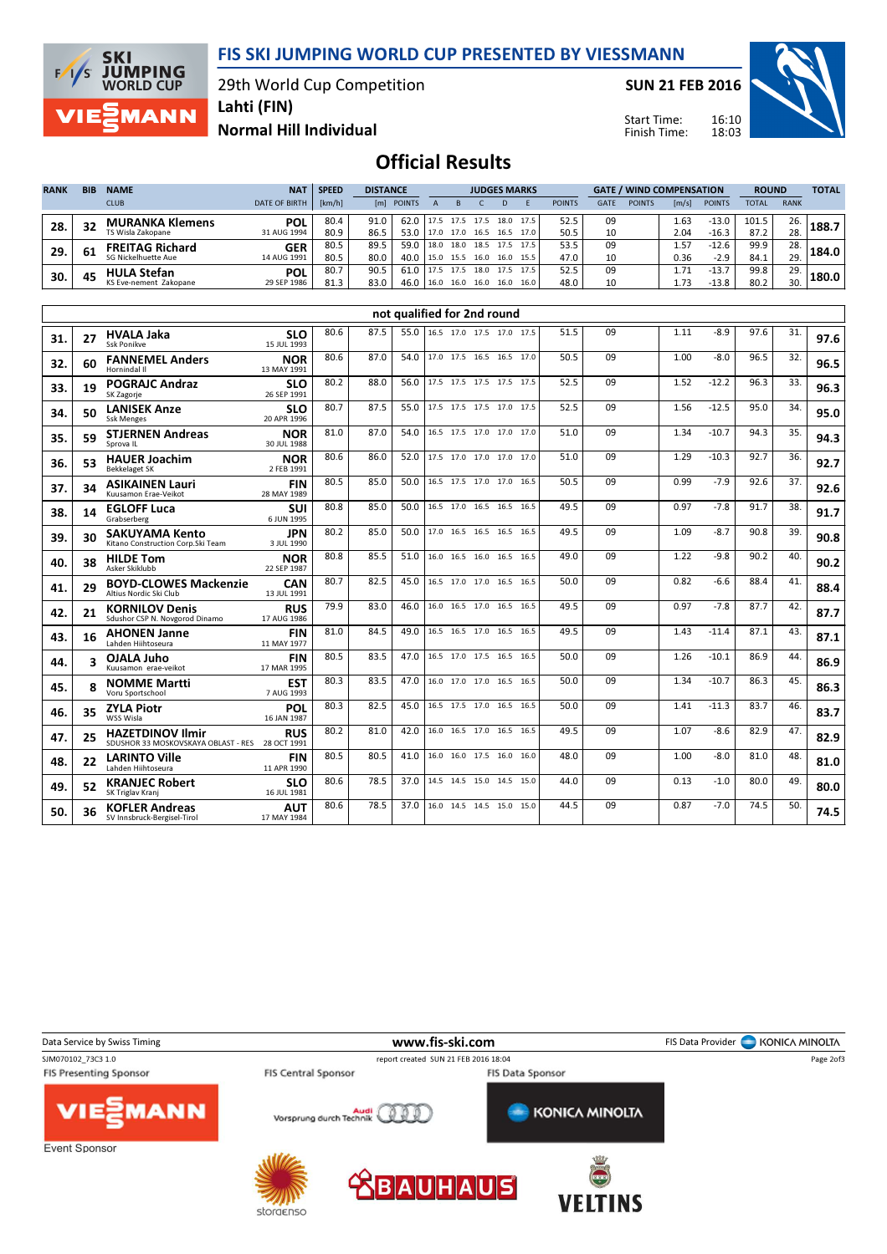FIS SKI JUMPING WORLD CUP PRESENTED BY VIESSMANN

29th World Cup Competition



Lahti (FIN)

SUN 21 FEB 2016

Start Time: Finish Time:



Normal Hill Individual

Official Results

| <b>RANK</b> | <b>BIB</b> | <b>NAME</b>                | <b>NAT</b>           | <b>SPEED</b> |      | <b>DISTANCE</b>     |  |           | <b>JUDGES MARKS</b>      |           |      |               |             |               | <b>GATE / WIND COMPENSATION</b> |               |       |             | <b>TOTAL</b> |
|-------------|------------|----------------------------|----------------------|--------------|------|---------------------|--|-----------|--------------------------|-----------|------|---------------|-------------|---------------|---------------------------------|---------------|-------|-------------|--------------|
|             |            | <b>CLUB</b>                | <b>DATE OF BIRTH</b> | [km/h]       | [ml] | <b>POINTS</b>       |  |           |                          |           |      | <b>POINTS</b> | <b>GATE</b> | <b>POINTS</b> | $\lfloor m/s \rfloor$           | <b>POINTS</b> | TOTAL | <b>RANK</b> |              |
| 28.         | 32         | <b>MURANKA Klemens</b>     | POL                  | 80.4         | 91.0 | 62.0 17.5 17.5 17.5 |  |           |                          | 18.0 17.5 |      | 52.5          | 09          |               | 1.63                            | $-13.0$       | 101.5 | 26.         | 188.7        |
|             |            | TS Wisla Zakopane          | 31 AUG 1994          | 80.9         | 86.5 | 53.0                |  |           | 17.0 17.0 16.5 16.5 17.0 |           |      | 50.5          | 10          |               | 2.04                            | $-16.3$       | 87.2  | 28.         |              |
| 29.         | 61         | <b>FREITAG Richard</b>     | <b>GER</b>           | 80.5         | 89.5 | 59.0                |  | 18.0 18.0 | 18.5 17.5 17.5           |           |      | 53.5          | 09          |               | 1.57                            | $-12.6$       | 99.9  | 28.         | 184.0        |
|             |            | <b>SG Nickelhuette Aue</b> | 14 AUG 1991          | 80.5         | 80.0 | 40.0                |  | 15.0 15.5 | 16.0 16.0 15.5           |           |      | 47.0          | 10          |               | 0.36                            | $-2.9$        | 84.1  | 29.         |              |
| 30.         | 45         | <b>HULA Stefan</b>         | <b>POL</b>           | 80.7         | 90.5 | 61.0                |  | 17.5      | 18.0                     | 17.5      | 17.5 | 52.5          | 09          |               | 1.71                            | $-13.$        | 99.8  | 29.         | L80.0 I      |
|             |            | KS Eve-nement Zakopane     | 29 SEP 1986          | 81.3         | 83.0 | 46.0                |  | 16.0 16.0 | 16.0                     | 16.0      | 16.0 | 48.0          | 10          |               | 1.73                            | $-13.8$       | 80.2  | 30.         |              |

|     |                         |                                                                            |                           |      |      | not qualified for 2nd round |                               |  |      |    |      |         |      |     |      |
|-----|-------------------------|----------------------------------------------------------------------------|---------------------------|------|------|-----------------------------|-------------------------------|--|------|----|------|---------|------|-----|------|
| 31. | 27                      | <b>HVALA Jaka</b><br>Ssk Ponikve                                           | <b>SLO</b><br>15 JUL 1993 | 80.6 | 87.5 |                             | 55.0 16.5 17.0 17.5 17.0 17.5 |  | 51.5 | 09 | 1.11 | $-8.9$  | 97.6 | 31. | 97.6 |
| 32. | 60                      | <b>FANNEMEL Anders</b><br>Hornindal II                                     | <b>NOR</b><br>13 MAY 1991 | 80.6 | 87.0 | 54.0                        | 17.0 17.5 16.5 16.5 17.0      |  | 50.5 | 09 | 1.00 | $-8.0$  | 96.5 | 32. | 96.5 |
| 33. | 19                      | <b>POGRAJC Andraz</b><br>SK Zagorje                                        | <b>SLO</b><br>26 SEP 1991 | 80.2 | 88.0 | 56.0                        | 17.5 17.5 17.5 17.5 17.5      |  | 52.5 | 09 | 1.52 | $-12.2$ | 96.3 | 33. | 96.3 |
| 34. | 50                      | <b>LANISEK Anze</b><br><b>Ssk Menges</b>                                   | <b>SLO</b><br>20 APR 1996 | 80.7 | 87.5 | 55.0                        | 17.5 17.5 17.5 17.0 17.5      |  | 52.5 | 09 | 1.56 | $-12.5$ | 95.0 | 34. | 95.0 |
| 35. | 59                      | <b>STJERNEN Andreas</b><br>Sprova IL                                       | <b>NOR</b><br>30 JUL 1988 | 81.0 | 87.0 | 54.0                        | 16.5 17.5 17.0 17.0 17.0      |  | 51.0 | 09 | 1.34 | $-10.7$ | 94.3 | 35. | 94.3 |
| 36. | 53                      | <b>HAUER Joachim</b><br><b>Bekkelaget SK</b>                               | <b>NOR</b><br>2 FEB 1991  | 80.6 | 86.0 | 52.0                        | 17.5 17.0 17.0 17.0 17.0      |  | 51.0 | 09 | 1.29 | $-10.3$ | 92.7 | 36. | 92.7 |
| 37. | 34                      | <b>ASIKAINEN Lauri</b><br>Kuusamon Frae-Veikot                             | <b>FIN</b><br>28 MAY 1989 | 80.5 | 85.0 | 50.0                        | 16.5 17.5 17.0 17.0 16.5      |  | 50.5 | 09 | 0.99 | $-7.9$  | 92.6 | 37. | 92.6 |
| 38. | 14                      | <b>EGLOFF Luca</b><br>Grabserberg                                          | SUI<br>6 JUN 1995         | 80.8 | 85.0 | 50.0                        | 16.5 17.0 16.5 16.5 16.5      |  | 49.5 | 09 | 0.97 | $-7.8$  | 91.7 | 38. | 91.7 |
| 39. | 30                      | <b>SAKUYAMA Kento</b><br>Kitano Construction Corp. Ski Team                | <b>JPN</b><br>3 JUL 1990  | 80.2 | 85.0 | 50.0                        | 17.0 16.5 16.5 16.5 16.5      |  | 49.5 | 09 | 1.09 | $-8.7$  | 90.8 | 39. | 90.8 |
| 40. | 38                      | <b>HILDE Tom</b><br>Asker Skiklubb                                         | <b>NOR</b><br>22 SEP 1987 | 80.8 | 85.5 | 51.0                        | 16.0 16.5 16.0 16.5 16.5      |  | 49.0 | 09 | 1.22 | $-9.8$  | 90.2 | 40. | 90.2 |
| 41. | 29                      | <b>BOYD-CLOWES Mackenzie</b><br>Altius Nordic Ski Club                     | <b>CAN</b><br>13 JUL 1991 | 80.7 | 82.5 | 45.0                        | 16.5 17.0 17.0 16.5 16.5      |  | 50.0 | 09 | 0.82 | -6.6    | 88.4 | 41. | 88.4 |
| 42. | 21                      | <b>KORNILOV Denis</b><br>Sdushor CSP N. Novgorod Dinamo                    | <b>RUS</b><br>17 AUG 1986 | 79.9 | 83.0 | 46.0                        | 16.0 16.5 17.0 16.5 16.5      |  | 49.5 | 09 | 0.97 | $-7.8$  | 87.7 | 42. | 87.7 |
| 43. | 16                      | <b>AHONEN Janne</b><br>Lahden Hiihtoseura                                  | <b>FIN</b><br>11 MAY 1977 | 81.0 | 84.5 | 49.0                        | 16.5 16.5 17.0 16.5 16.5      |  | 49.5 | 09 | 1.43 | $-11.4$ | 87.1 | 43. | 87.1 |
| 44. | $\overline{\mathbf{z}}$ | OJALA Juho<br>Kuusamon erae-veikot                                         | <b>FIN</b><br>17 MAR 1995 | 80.5 | 83.5 | 47.0                        | 16.5 17.0 17.5 16.5 16.5      |  | 50.0 | 09 | 1.26 | $-10.1$ | 86.9 | 44. | 86.9 |
| 45. |                         | <b>NOMME Martti</b><br>Voru Sportschool                                    | <b>EST</b><br>7 AUG 1993  | 80.3 | 83.5 | 47.0                        | 16.0 17.0 17.0 16.5 16.5      |  | 50.0 | 09 | 1.34 | $-10.7$ | 86.3 | 45. | 86.3 |
| 46. | 35                      | <b>ZYLA Piotr</b><br>WSS Wisla                                             | <b>POL</b><br>16 JAN 1987 | 80.3 | 82.5 | 45.0                        | 16.5 17.5 17.0 16.5 16.5      |  | 50.0 | 09 | 1.41 | $-11.3$ | 83.7 | 46. | 83.7 |
| 47. | 25                      | <b>HAZETDINOV Ilmir</b><br>SDUSHOR 33 MOSKOVSKAYA OBLAST - RES 28 OCT 1991 | <b>RUS</b>                | 80.2 | 81.0 | 42.0                        | 16.0 16.5 17.0 16.5 16.5      |  | 49.5 | 09 | 1.07 | $-8.6$  | 82.9 | 47. | 82.9 |
| 48. | 22                      | <b>LARINTO Ville</b><br>Lahden Hiihtoseura                                 | <b>FIN</b><br>11 APR 1990 | 80.5 | 80.5 | 41.0                        | 16.0 16.0 17.5 16.0 16.0      |  | 48.0 | 09 | 1.00 | -8.0    | 81.0 | 48. | 81.0 |
| 49. | 52                      | <b>KRANJEC Robert</b><br>SK Triglav Krani                                  | <b>SLO</b><br>16 JUL 1981 | 80.6 | 78.5 | 37.0                        | 14.5 14.5 15.0 14.5 15.0      |  | 44.0 | 09 | 0.13 | $-1.0$  | 80.0 | 49. | 80.0 |
| 50. | 36                      | <b>KOFLER Andreas</b><br>SV Innsbruck-Bergisel-Tirol                       | <b>AUT</b><br>17 MAY 1984 | 80.6 | 78.5 | 37.0                        | 16.0 14.5 14.5 15.0 15.0      |  | 44.5 | 09 | 0.87 | $-7.0$  | 74.5 | 50. | 74.5 |



storaenso